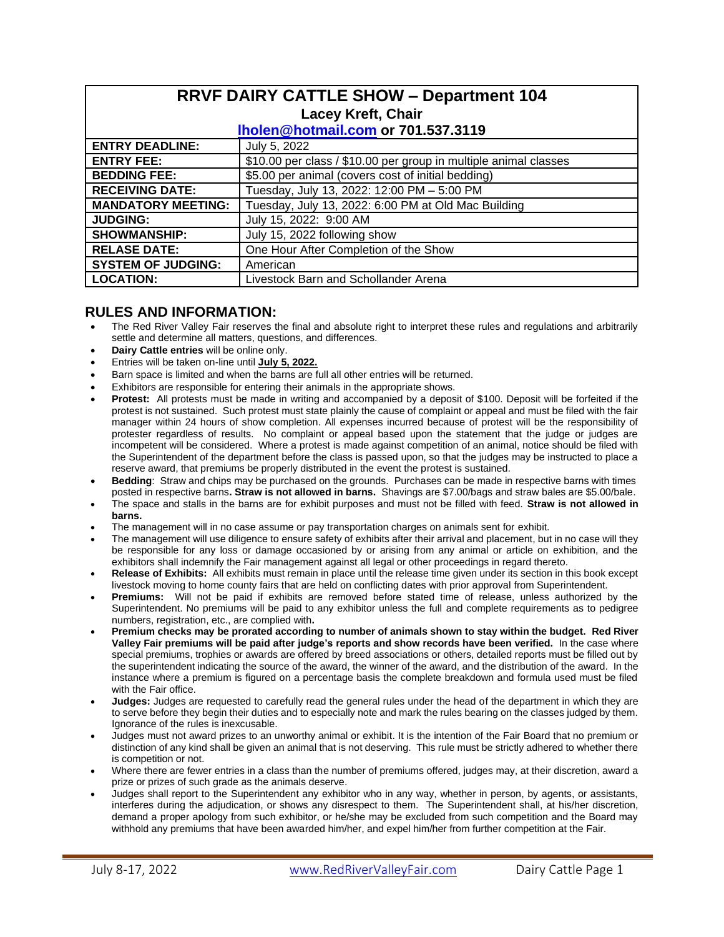| <b>RRVF DAIRY CATTLE SHOW - Department 104</b><br><b>Lacey Kreft, Chair</b> |                                                                  |  |  |  |  |  |
|-----------------------------------------------------------------------------|------------------------------------------------------------------|--|--|--|--|--|
| Iholen@hotmail.com or 701.537.3119                                          |                                                                  |  |  |  |  |  |
| <b>ENTRY DEADLINE:</b>                                                      | July 5, 2022                                                     |  |  |  |  |  |
| <b>ENTRY FEE:</b>                                                           | \$10.00 per class / \$10.00 per group in multiple animal classes |  |  |  |  |  |
| <b>BEDDING FEE:</b>                                                         | \$5.00 per animal (covers cost of initial bedding)               |  |  |  |  |  |
| <b>RECEIVING DATE:</b>                                                      | Tuesday, July 13, 2022: 12:00 PM - 5:00 PM                       |  |  |  |  |  |
| <b>MANDATORY MEETING:</b>                                                   | Tuesday, July 13, 2022: 6:00 PM at Old Mac Building              |  |  |  |  |  |
| <b>JUDGING:</b>                                                             | July 15, 2022: 9:00 AM                                           |  |  |  |  |  |
| <b>SHOWMANSHIP:</b>                                                         | July 15, 2022 following show                                     |  |  |  |  |  |
| <b>RELASE DATE:</b>                                                         | One Hour After Completion of the Show                            |  |  |  |  |  |
| <b>SYSTEM OF JUDGING:</b>                                                   | American                                                         |  |  |  |  |  |
| <b>LOCATION:</b>                                                            | Livestock Barn and Schollander Arena                             |  |  |  |  |  |

## **RULES AND INFORMATION:**

- The Red River Valley Fair reserves the final and absolute right to interpret these rules and regulations and arbitrarily settle and determine all matters, questions, and differences.
- **Dairy Cattle entries** will be online only.
- Entries will be taken on-line until **July 5, 2022.**
- Barn space is limited and when the barns are full all other entries will be returned.
- Exhibitors are responsible for entering their animals in the appropriate shows.
- **Protest:** All protests must be made in writing and accompanied by a deposit of \$100. Deposit will be forfeited if the protest is not sustained. Such protest must state plainly the cause of complaint or appeal and must be filed with the fair manager within 24 hours of show completion. All expenses incurred because of protest will be the responsibility of protester regardless of results. No complaint or appeal based upon the statement that the judge or judges are incompetent will be considered. Where a protest is made against competition of an animal, notice should be filed with the Superintendent of the department before the class is passed upon, so that the judges may be instructed to place a reserve award, that premiums be properly distributed in the event the protest is sustained.
- **Bedding**: Straw and chips may be purchased on the grounds. Purchases can be made in respective barns with times posted in respective barns**. Straw is not allowed in barns.** Shavings are \$7.00/bags and straw bales are \$5.00/bale.
- The space and stalls in the barns are for exhibit purposes and must not be filled with feed. **Straw is not allowed in barns.**
- The management will in no case assume or pay transportation charges on animals sent for exhibit.
- The management will use diligence to ensure safety of exhibits after their arrival and placement, but in no case will they be responsible for any loss or damage occasioned by or arising from any animal or article on exhibition, and the exhibitors shall indemnify the Fair management against all legal or other proceedings in regard thereto.
- **Release of Exhibits:** All exhibits must remain in place until the release time given under its section in this book except livestock moving to home county fairs that are held on conflicting dates with prior approval from Superintendent.
- **Premiums:** Will not be paid if exhibits are removed before stated time of release, unless authorized by the Superintendent. No premiums will be paid to any exhibitor unless the full and complete requirements as to pedigree numbers, registration, etc., are complied with**.**
- **Premium checks may be prorated according to number of animals shown to stay within the budget. Red River Valley Fair premiums will be paid after judge's reports and show records have been verified.** In the case where special premiums, trophies or awards are offered by breed associations or others, detailed reports must be filled out by the superintendent indicating the source of the award, the winner of the award, and the distribution of the award. In the instance where a premium is figured on a percentage basis the complete breakdown and formula used must be filed with the Fair office.
- **Judges:** Judges are requested to carefully read the general rules under the head of the department in which they are to serve before they begin their duties and to especially note and mark the rules bearing on the classes judged by them. Ignorance of the rules is inexcusable.
- Judges must not award prizes to an unworthy animal or exhibit. It is the intention of the Fair Board that no premium or distinction of any kind shall be given an animal that is not deserving. This rule must be strictly adhered to whether there is competition or not.
- Where there are fewer entries in a class than the number of premiums offered, judges may, at their discretion, award a prize or prizes of such grade as the animals deserve.
- Judges shall report to the Superintendent any exhibitor who in any way, whether in person, by agents, or assistants, interferes during the adjudication, or shows any disrespect to them. The Superintendent shall, at his/her discretion, demand a proper apology from such exhibitor, or he/she may be excluded from such competition and the Board may withhold any premiums that have been awarded him/her, and expel him/her from further competition at the Fair.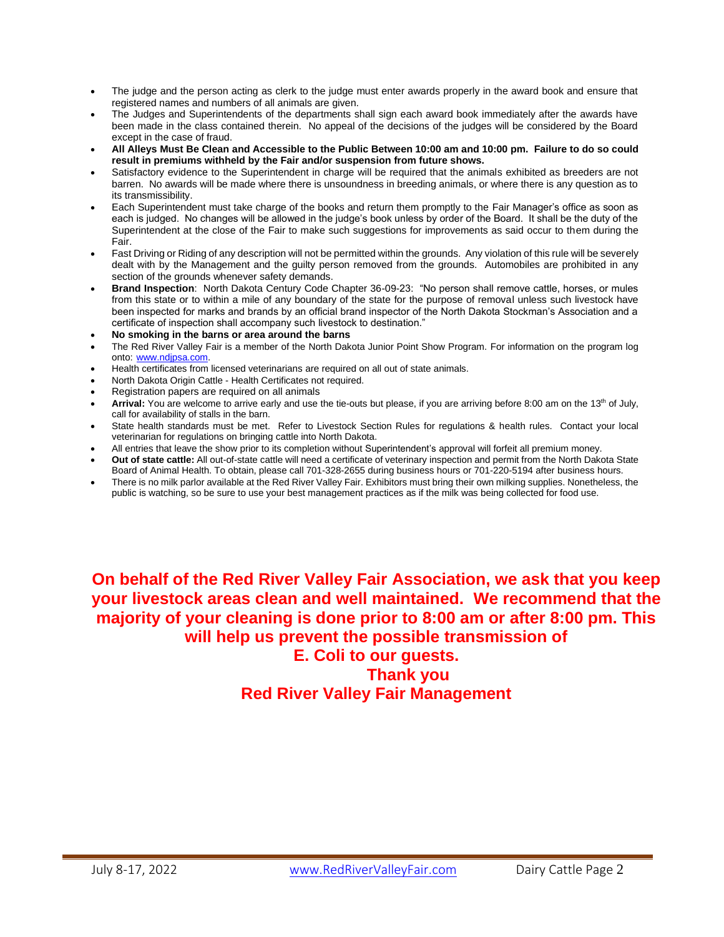- The judge and the person acting as clerk to the judge must enter awards properly in the award book and ensure that registered names and numbers of all animals are given.
- The Judges and Superintendents of the departments shall sign each award book immediately after the awards have been made in the class contained therein. No appeal of the decisions of the judges will be considered by the Board except in the case of fraud.
- **All Alleys Must Be Clean and Accessible to the Public Between 10:00 am and 10:00 pm. Failure to do so could result in premiums withheld by the Fair and/or suspension from future shows.**
- Satisfactory evidence to the Superintendent in charge will be required that the animals exhibited as breeders are not barren. No awards will be made where there is unsoundness in breeding animals, or where there is any question as to its transmissibility.
- Each Superintendent must take charge of the books and return them promptly to the Fair Manager's office as soon as each is judged. No changes will be allowed in the judge's book unless by order of the Board. It shall be the duty of the Superintendent at the close of the Fair to make such suggestions for improvements as said occur to them during the Fair.
- Fast Driving or Riding of any description will not be permitted within the grounds. Any violation of this rule will be severely dealt with by the Management and the guilty person removed from the grounds. Automobiles are prohibited in any section of the grounds whenever safety demands.
- **Brand Inspection**: North Dakota Century Code Chapter 36-09-23: "No person shall remove cattle, horses, or mules from this state or to within a mile of any boundary of the state for the purpose of removal unless such livestock have been inspected for marks and brands by an official brand inspector of the North Dakota Stockman's Association and a certificate of inspection shall accompany such livestock to destination."
- **No smoking in the barns or area around the barns**
- The Red River Valley Fair is a member of the North Dakota Junior Point Show Program. For information on the program log onto: [www.ndjpsa.com.](http://www.ndjpsa.com/)
- Health certificates from licensed veterinarians are required on all out of state animals.
- North Dakota Origin Cattle Health Certificates not required.
- Registration papers are required on all animals
- Arrival: You are welcome to arrive early and use the tie-outs but please, if you are arriving before 8:00 am on the 13<sup>th</sup> of July, call for availability of stalls in the barn.
- State health standards must be met. Refer to Livestock Section Rules for regulations & health rules. Contact your local veterinarian for regulations on bringing cattle into North Dakota.
- All entries that leave the show prior to its completion without Superintendent's approval will forfeit all premium money.
- **Out of state cattle:** All out-of-state cattle will need a certificate of veterinary inspection and permit from the North Dakota State Board of Animal Health. To obtain, please call 701-328-2655 during business hours or 701-220-5194 after business hours.
- There is no milk parlor available at the Red River Valley Fair. Exhibitors must bring their own milking supplies. Nonetheless, the public is watching, so be sure to use your best management practices as if the milk was being collected for food use.

**On behalf of the Red River Valley Fair Association, we ask that you keep your livestock areas clean and well maintained. We recommend that the majority of your cleaning is done prior to 8:00 am or after 8:00 pm. This will help us prevent the possible transmission of** 

# **E. Coli to our guests. Thank you Red River Valley Fair Management**